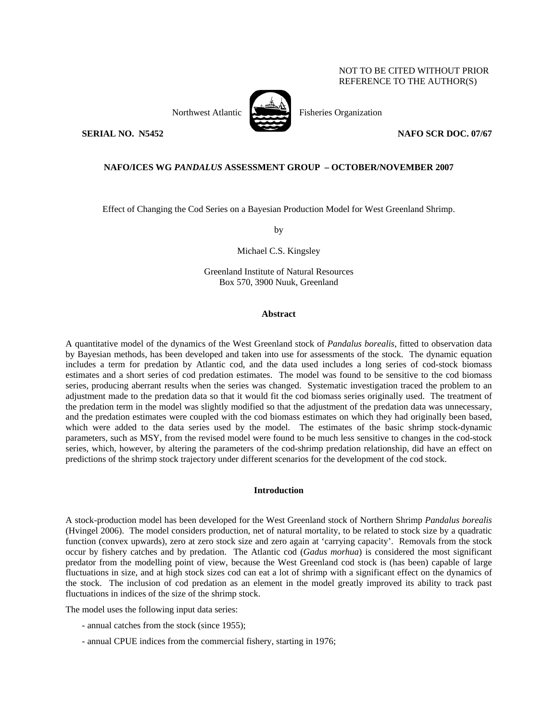# NOT TO BE CITED WITHOUT PRIOR REFERENCE TO THE AUTHOR(S)



Northwest Atlantic Fisheries Organization

**SERIAL NO. N5452** NAFO SCR DOC. 07/67

## **NAFO/ICES WG** *PANDALUS* **ASSESSMENT GROUP – OCTOBER/NOVEMBER 2007**

Effect of Changing the Cod Series on a Bayesian Production Model for West Greenland Shrimp.

by

Michael C.S. Kingsley

Greenland Institute of Natural Resources Box 570, 3900 Nuuk, Greenland

### **Abstract**

A quantitative model of the dynamics of the West Greenland stock of *Pandalus borealis*, fitted to observation data by Bayesian methods, has been developed and taken into use for assessments of the stock. The dynamic equation includes a term for predation by Atlantic cod, and the data used includes a long series of cod-stock biomass estimates and a short series of cod predation estimates. The model was found to be sensitive to the cod biomass series, producing aberrant results when the series was changed. Systematic investigation traced the problem to an adjustment made to the predation data so that it would fit the cod biomass series originally used. The treatment of the predation term in the model was slightly modified so that the adjustment of the predation data was unnecessary, and the predation estimates were coupled with the cod biomass estimates on which they had originally been based, which were added to the data series used by the model. The estimates of the basic shrimp stock-dynamic parameters, such as MSY, from the revised model were found to be much less sensitive to changes in the cod-stock series, which, however, by altering the parameters of the cod-shrimp predation relationship, did have an effect on predictions of the shrimp stock trajectory under different scenarios for the development of the cod stock.

## **Introduction**

A stock-production model has been developed for the West Greenland stock of Northern Shrimp *Pandalus borealis* (Hvingel 2006). The model considers production, net of natural mortality, to be related to stock size by a quadratic function (convex upwards), zero at zero stock size and zero again at 'carrying capacity'. Removals from the stock occur by fishery catches and by predation. The Atlantic cod (*Gadus morhua*) is considered the most significant predator from the modelling point of view, because the West Greenland cod stock is (has been) capable of large fluctuations in size, and at high stock sizes cod can eat a lot of shrimp with a significant effect on the dynamics of the stock. The inclusion of cod predation as an element in the model greatly improved its ability to track past fluctuations in indices of the size of the shrimp stock.

The model uses the following input data series:

- annual catches from the stock (since 1955);
- annual CPUE indices from the commercial fishery, starting in 1976;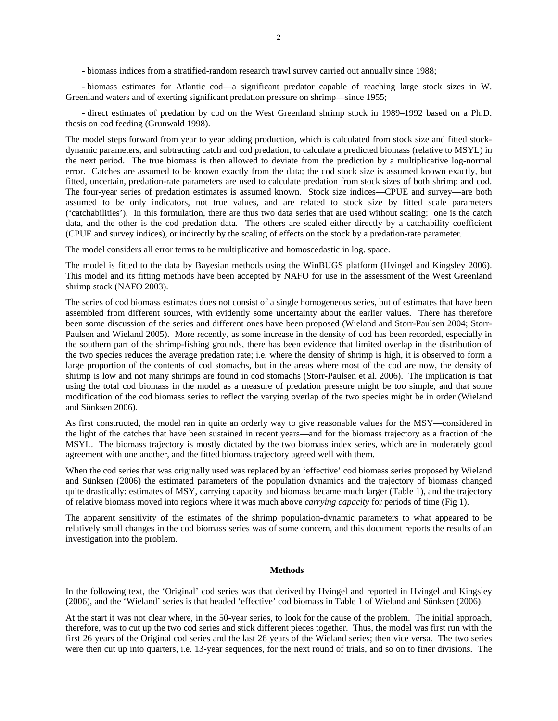- biomass indices from a stratified-random research trawl survey carried out annually since 1988;

- biomass estimates for Atlantic cod—a significant predator capable of reaching large stock sizes in W. Greenland waters and of exerting significant predation pressure on shrimp—since 1955;

- direct estimates of predation by cod on the West Greenland shrimp stock in 1989–1992 based on a Ph.D. thesis on cod feeding (Grunwald 1998).

The model steps forward from year to year adding production, which is calculated from stock size and fitted stockdynamic parameters, and subtracting catch and cod predation, to calculate a predicted biomass (relative to MSYL) in the next period. The true biomass is then allowed to deviate from the prediction by a multiplicative log-normal error. Catches are assumed to be known exactly from the data; the cod stock size is assumed known exactly, but fitted, uncertain, predation-rate parameters are used to calculate predation from stock sizes of both shrimp and cod. The four-year series of predation estimates is assumed known. Stock size indices—CPUE and survey—are both assumed to be only indicators, not true values, and are related to stock size by fitted scale parameters ('catchabilities'). In this formulation, there are thus two data series that are used without scaling: one is the catch data, and the other is the cod predation data. The others are scaled either directly by a catchability coefficient (CPUE and survey indices), or indirectly by the scaling of effects on the stock by a predation-rate parameter.

The model considers all error terms to be multiplicative and homoscedastic in log. space.

The model is fitted to the data by Bayesian methods using the WinBUGS platform (Hvingel and Kingsley 2006). This model and its fitting methods have been accepted by NAFO for use in the assessment of the West Greenland shrimp stock (NAFO 2003).

The series of cod biomass estimates does not consist of a single homogeneous series, but of estimates that have been assembled from different sources, with evidently some uncertainty about the earlier values. There has therefore been some discussion of the series and different ones have been proposed (Wieland and Storr-Paulsen 2004; Storr-Paulsen and Wieland 2005). More recently, as some increase in the density of cod has been recorded, especially in the southern part of the shrimp-fishing grounds, there has been evidence that limited overlap in the distribution of the two species reduces the average predation rate; i.e. where the density of shrimp is high, it is observed to form a large proportion of the contents of cod stomachs, but in the areas where most of the cod are now, the density of shrimp is low and not many shrimps are found in cod stomachs (Storr-Paulsen et al. 2006). The implication is that using the total cod biomass in the model as a measure of predation pressure might be too simple, and that some modification of the cod biomass series to reflect the varying overlap of the two species might be in order (Wieland and Sünksen 2006).

As first constructed, the model ran in quite an orderly way to give reasonable values for the MSY—considered in the light of the catches that have been sustained in recent years—and for the biomass trajectory as a fraction of the MSYL. The biomass trajectory is mostly dictated by the two biomass index series, which are in moderately good agreement with one another, and the fitted biomass trajectory agreed well with them.

When the cod series that was originally used was replaced by an 'effective' cod biomass series proposed by Wieland and Sünksen (2006) the estimated parameters of the population dynamics and the trajectory of biomass changed quite drastically: estimates of MSY, carrying capacity and biomass became much larger (Table 1), and the trajectory of relative biomass moved into regions where it was much above *carrying capacity* for periods of time (Fig 1).

The apparent sensitivity of the estimates of the shrimp population-dynamic parameters to what appeared to be relatively small changes in the cod biomass series was of some concern, and this document reports the results of an investigation into the problem.

### **Methods**

In the following text, the 'Original' cod series was that derived by Hvingel and reported in Hvingel and Kingsley (2006), and the 'Wieland' series is that headed 'effective' cod biomass in Table 1 of Wieland and Sünksen (2006).

At the start it was not clear where, in the 50-year series, to look for the cause of the problem. The initial approach, therefore, was to cut up the two cod series and stick different pieces together. Thus, the model was first run with the first 26 years of the Original cod series and the last 26 years of the Wieland series; then vice versa. The two series were then cut up into quarters, i.e. 13-year sequences, for the next round of trials, and so on to finer divisions. The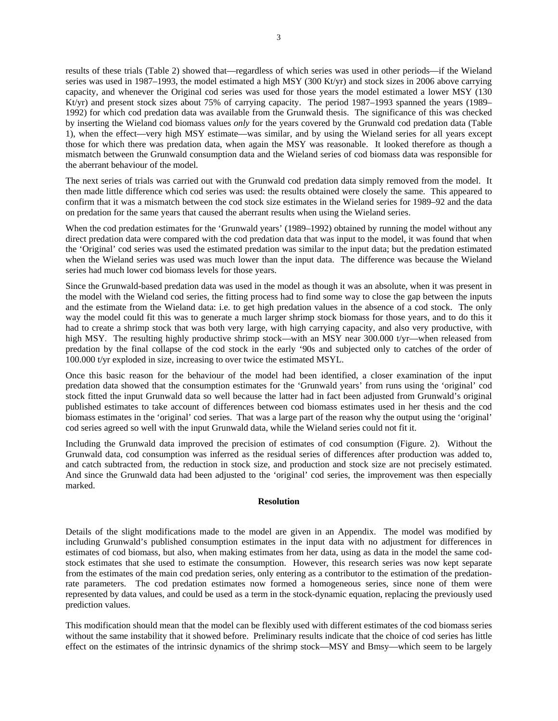results of these trials (Table 2) showed that—regardless of which series was used in other periods—if the Wieland series was used in 1987–1993, the model estimated a high MSY (300 Kt/yr) and stock sizes in 2006 above carrying capacity, and whenever the Original cod series was used for those years the model estimated a lower MSY (130 Kt/yr) and present stock sizes about 75% of carrying capacity. The period 1987–1993 spanned the years (1989– 1992) for which cod predation data was available from the Grunwald thesis. The significance of this was checked by inserting the Wieland cod biomass values *only* for the years covered by the Grunwald cod predation data (Table 1), when the effect—very high MSY estimate—was similar, and by using the Wieland series for all years except those for which there was predation data, when again the MSY was reasonable. It looked therefore as though a mismatch between the Grunwald consumption data and the Wieland series of cod biomass data was responsible for the aberrant behaviour of the model.

The next series of trials was carried out with the Grunwald cod predation data simply removed from the model. It then made little difference which cod series was used: the results obtained were closely the same. This appeared to confirm that it was a mismatch between the cod stock size estimates in the Wieland series for 1989–92 and the data on predation for the same years that caused the aberrant results when using the Wieland series.

When the cod predation estimates for the 'Grunwald years' (1989–1992) obtained by running the model without any direct predation data were compared with the cod predation data that was input to the model, it was found that when the 'Original' cod series was used the estimated predation was similar to the input data; but the predation estimated when the Wieland series was used was much lower than the input data. The difference was because the Wieland series had much lower cod biomass levels for those years.

Since the Grunwald-based predation data was used in the model as though it was an absolute, when it was present in the model with the Wieland cod series, the fitting process had to find some way to close the gap between the inputs and the estimate from the Wieland data: i.e. to get high predation values in the absence of a cod stock. The only way the model could fit this was to generate a much larger shrimp stock biomass for those years, and to do this it had to create a shrimp stock that was both very large, with high carrying capacity, and also very productive, with high MSY. The resulting highly productive shrimp stock—with an MSY near 300.000 t/yr—when released from predation by the final collapse of the cod stock in the early '90s and subjected only to catches of the order of 100.000 t/yr exploded in size, increasing to over twice the estimated MSYL.

Once this basic reason for the behaviour of the model had been identified, a closer examination of the input predation data showed that the consumption estimates for the 'Grunwald years' from runs using the 'original' cod stock fitted the input Grunwald data so well because the latter had in fact been adjusted from Grunwald's original published estimates to take account of differences between cod biomass estimates used in her thesis and the cod biomass estimates in the 'original' cod series. That was a large part of the reason why the output using the 'original' cod series agreed so well with the input Grunwald data, while the Wieland series could not fit it.

Including the Grunwald data improved the precision of estimates of cod consumption (Figure. 2). Without the Grunwald data, cod consumption was inferred as the residual series of differences after production was added to, and catch subtracted from, the reduction in stock size, and production and stock size are not precisely estimated. And since the Grunwald data had been adjusted to the 'original' cod series, the improvement was then especially marked.

## **Resolution**

Details of the slight modifications made to the model are given in an Appendix. The model was modified by including Grunwald's published consumption estimates in the input data with no adjustment for differences in estimates of cod biomass, but also, when making estimates from her data, using as data in the model the same codstock estimates that she used to estimate the consumption. However, this research series was now kept separate from the estimates of the main cod predation series, only entering as a contributor to the estimation of the predationrate parameters. The cod predation estimates now formed a homogeneous series, since none of them were represented by data values, and could be used as a term in the stock-dynamic equation, replacing the previously used prediction values.

This modification should mean that the model can be flexibly used with different estimates of the cod biomass series without the same instability that it showed before. Preliminary results indicate that the choice of cod series has little effect on the estimates of the intrinsic dynamics of the shrimp stock—MSY and Bmsy—which seem to be largely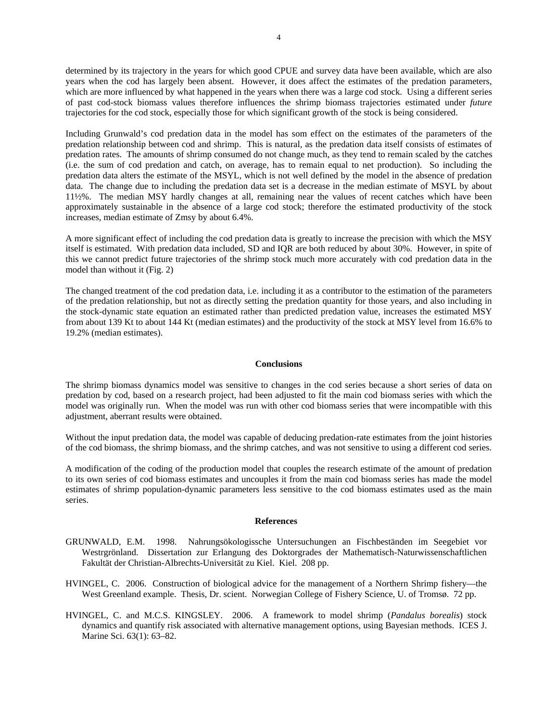determined by its trajectory in the years for which good CPUE and survey data have been available, which are also years when the cod has largely been absent. However, it does affect the estimates of the predation parameters, which are more influenced by what happened in the years when there was a large cod stock. Using a different series of past cod-stock biomass values therefore influences the shrimp biomass trajectories estimated under *future*  trajectories for the cod stock, especially those for which significant growth of the stock is being considered.

Including Grunwald's cod predation data in the model has som effect on the estimates of the parameters of the predation relationship between cod and shrimp. This is natural, as the predation data itself consists of estimates of predation rates. The amounts of shrimp consumed do not change much, as they tend to remain scaled by the catches (i.e. the sum of cod predation and catch, on average, has to remain equal to net production). So including the predation data alters the estimate of the MSYL, which is not well defined by the model in the absence of predation data. The change due to including the predation data set is a decrease in the median estimate of MSYL by about 11½%. The median MSY hardly changes at all, remaining near the values of recent catches which have been approximately sustainable in the absence of a large cod stock; therefore the estimated productivity of the stock increases, median estimate of Zmsy by about 6.4%.

A more significant effect of including the cod predation data is greatly to increase the precision with which the MSY itself is estimated. With predation data included, SD and IQR are both reduced by about 30%. However, in spite of this we cannot predict future trajectories of the shrimp stock much more accurately with cod predation data in the model than without it (Fig. 2)

The changed treatment of the cod predation data, i.e. including it as a contributor to the estimation of the parameters of the predation relationship, but not as directly setting the predation quantity for those years, and also including in the stock-dynamic state equation an estimated rather than predicted predation value, increases the estimated MSY from about 139 Kt to about 144 Kt (median estimates) and the productivity of the stock at MSY level from 16.6% to 19.2% (median estimates).

#### **Conclusions**

The shrimp biomass dynamics model was sensitive to changes in the cod series because a short series of data on predation by cod, based on a research project, had been adjusted to fit the main cod biomass series with which the model was originally run. When the model was run with other cod biomass series that were incompatible with this adjustment, aberrant results were obtained.

Without the input predation data, the model was capable of deducing predation-rate estimates from the joint histories of the cod biomass, the shrimp biomass, and the shrimp catches, and was not sensitive to using a different cod series.

A modification of the coding of the production model that couples the research estimate of the amount of predation to its own series of cod biomass estimates and uncouples it from the main cod biomass series has made the model estimates of shrimp population-dynamic parameters less sensitive to the cod biomass estimates used as the main series.

#### **References**

- GRUNWALD, E.M. 1998. Nahrungsökologissche Untersuchungen an Fischbeständen im Seegebiet vor Westrgrönland. Dissertation zur Erlangung des Doktorgrades der Mathematisch-Naturwissenschaftlichen Fakultät der Christian-Albrechts-Universität zu Kiel. Kiel. 208 pp.
- HVINGEL, C. 2006. Construction of biological advice for the management of a Northern Shrimp fishery—the West Greenland example. Thesis, Dr. scient. Norwegian College of Fishery Science, U. of Tromsø. 72 pp.
- HVINGEL, C. and M.C.S. KINGSLEY. 2006. A framework to model shrimp (*Pandalus borealis*) stock dynamics and quantify risk associated with alternative management options, using Bayesian methods. ICES J. Marine Sci. 63(1): 63-82.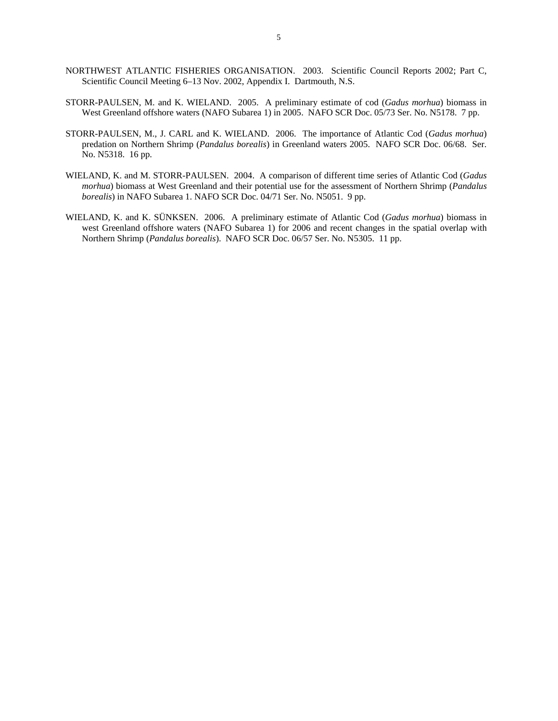- NORTHWEST ATLANTIC FISHERIES ORGANISATION. 2003. Scientific Council Reports 2002; Part C, Scientific Council Meeting 6–13 Nov. 2002, Appendix I. Dartmouth, N.S.
- STORR-PAULSEN, M. and K. WIELAND. 2005. A preliminary estimate of cod (*Gadus morhua*) biomass in West Greenland offshore waters (NAFO Subarea 1) in 2005. NAFO SCR Doc. 05/73 Ser. No. N5178. 7 pp.
- STORR-PAULSEN, M., J. CARL and K. WIELAND. 2006. The importance of Atlantic Cod (*Gadus morhua*) predation on Northern Shrimp (*Pandalus borealis*) in Greenland waters 2005. NAFO SCR Doc. 06/68. Ser. No. N5318. 16 pp.
- WIELAND, K. and M. STORR-PAULSEN. 2004. A comparison of different time series of Atlantic Cod (*Gadus morhua*) biomass at West Greenland and their potential use for the assessment of Northern Shrimp (*Pandalus borealis*) in NAFO Subarea 1. NAFO SCR Doc. 04/71 Ser. No. N5051. 9 pp.
- WIELAND, K. and K. SÜNKSEN. 2006. A preliminary estimate of Atlantic Cod (*Gadus morhua*) biomass in west Greenland offshore waters (NAFO Subarea 1) for 2006 and recent changes in the spatial overlap with Northern Shrimp (*Pandalus borealis*). NAFO SCR Doc. 06/57 Ser. No. N5305. 11 pp.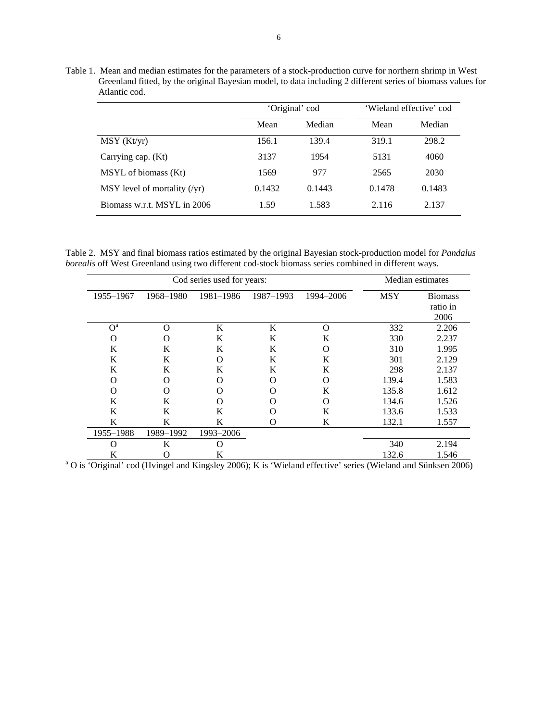Table 1. Mean and median estimates for the parameters of a stock-production curve for northern shrimp in West Greenland fitted, by the original Bayesian model, to data including 2 different series of biomass values for Atlantic cod.

|                                |        | 'Original' cod | 'Wieland effective' cod |        |  |  |
|--------------------------------|--------|----------------|-------------------------|--------|--|--|
|                                | Mean   | Median         | Mean                    | Median |  |  |
| MSY (Kt/yr)                    | 156.1  | 139.4          | 319.1                   | 298.2  |  |  |
| Carrying cap. (Kt)             | 3137   | 1954           | 5131                    | 4060   |  |  |
| MSYL of biomass (Kt)           | 1569   | 977            | 2565                    | 2030   |  |  |
| $MSY$ level of mortality (/yr) | 0.1432 | 0.1443         | 0.1478                  | 0.1483 |  |  |
| Biomass w.r.t. MSYL in 2006    | 1.59   | 1.583          | 2.116                   | 2.137  |  |  |

Table 2. MSY and final biomass ratios estimated by the original Bayesian stock-production model for *Pandalus borealis* off West Greenland using two different cod-stock biomass series combined in different ways.

|                | Cod series used for years: | Median estimates |           |           |            |                                    |
|----------------|----------------------------|------------------|-----------|-----------|------------|------------------------------------|
| 1955-1967      | 1968-1980                  | 1981-1986        | 1987-1993 | 1994-2006 | <b>MSY</b> | <b>Biomass</b><br>ratio in<br>2006 |
| O <sup>a</sup> | O                          | K                | K         | $\Omega$  | 332        | 2.206                              |
| O              | O                          | K                | K         | K         | 330        | 2.237                              |
| K              | K                          | K                | K         | $\Omega$  | 310        | 1.995                              |
| K              | K                          | O                | K         | K         | 301        | 2.129                              |
| K              | K                          | K                | K         | K         | 298        | 2.137                              |
| O              | O                          | O                | ∩         | Ω         | 139.4      | 1.583                              |
| $\Omega$       | O                          | O                | $\Omega$  | K         | 135.8      | 1.612                              |
| K              | K                          | O                | O         | Ω         | 134.6      | 1.526                              |
| K              | K                          | K                |           | K         | 133.6      | 1.533                              |
| K              | K                          | K                | $\Omega$  | K         | 132.1      | 1.557                              |
| 1955-1988      | 1989-1992                  | 1993-2006        |           |           |            |                                    |
| Ω              | K                          | O                |           |           | 340        | 2.194                              |
| K              | O                          | K                |           |           | 132.6      | 1.546                              |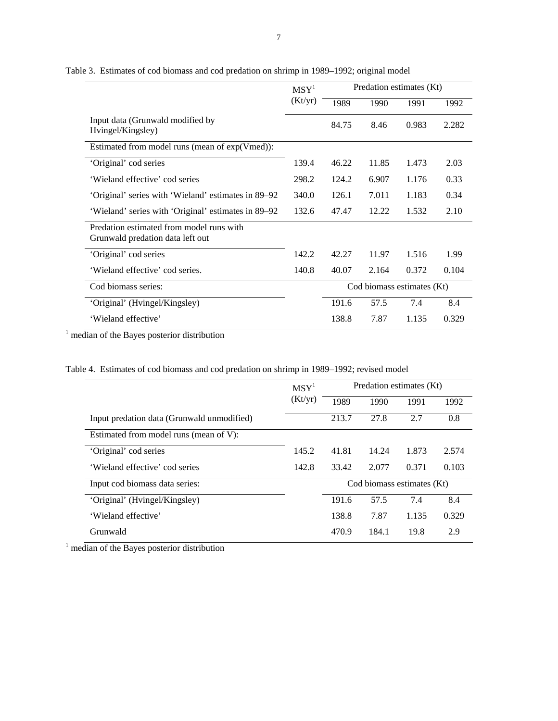|                                                                              | MSY <sup>1</sup> | Predation estimates (Kt) |                            |       |       |  |  |
|------------------------------------------------------------------------------|------------------|--------------------------|----------------------------|-------|-------|--|--|
|                                                                              | (Kt/yr)          | 1989                     | 1990                       | 1991  | 1992  |  |  |
| Input data (Grunwald modified by<br>Hvingel/Kingsley)                        |                  | 84.75                    | 8.46                       | 0.983 | 2.282 |  |  |
| Estimated from model runs (mean of exp(Vmed)):                               |                  |                          |                            |       |       |  |  |
| 'Original' cod series                                                        | 139.4            | 46.22                    | 11.85                      | 1.473 | 2.03  |  |  |
| 'Wieland effective' cod series                                               | 298.2            | 124.2                    | 6.907                      | 1.176 | 0.33  |  |  |
| 'Original' series with 'Wieland' estimates in 89–92                          | 340.0            | 126.1                    | 7.011                      | 1.183 | 0.34  |  |  |
| 'Wieland' series with 'Original' estimates in 89–92                          | 132.6            | 47.47                    | 12.22                      | 1.532 | 2.10  |  |  |
| Predation estimated from model runs with<br>Grunwald predation data left out |                  |                          |                            |       |       |  |  |
| 'Original' cod series                                                        | 142.2            | 42.27                    | 11.97                      | 1.516 | 1.99  |  |  |
| 'Wieland effective' cod series.                                              | 140.8            | 40.07                    | 2.164                      | 0.372 | 0.104 |  |  |
| Cod biomass series:                                                          |                  |                          | Cod biomass estimates (Kt) |       |       |  |  |
| 'Original' (Hvingel/Kingsley)                                                |                  | 191.6                    | 57.5                       | 7.4   | 8.4   |  |  |
| 'Wieland effective'                                                          |                  | 138.8                    | 7.87                       | 1.135 | 0.329 |  |  |

Table 3. Estimates of cod biomass and cod predation on shrimp in 1989–1992; original model

<sup>1</sup> median of the Bayes posterior distribution

|  | Table 4. Estimates of cod biomass and cod predation on shrimp in 1989–1992; revised model |  |  |  |  |  |  |  |  |  |  |
|--|-------------------------------------------------------------------------------------------|--|--|--|--|--|--|--|--|--|--|
|--|-------------------------------------------------------------------------------------------|--|--|--|--|--|--|--|--|--|--|

|                                            | MSY <sup>1</sup> | Predation estimates (Kt)   |       |       |       |  |
|--------------------------------------------|------------------|----------------------------|-------|-------|-------|--|
|                                            | (Kt/yr)          | 1989                       | 1990  | 1991  | 1992  |  |
| Input predation data (Grunwald unmodified) |                  | 213.7                      | 27.8  | 2.7   | 0.8   |  |
| Estimated from model runs (mean of V):     |                  |                            |       |       |       |  |
| 'Original' cod series                      | 145.2            | 41.81                      | 14.24 | 1.873 | 2.574 |  |
| 'Wieland effective' cod series             | 142.8            | 33.42                      | 2.077 | 0.371 | 0.103 |  |
| Input cod biomass data series:             |                  | Cod biomass estimates (Kt) |       |       |       |  |
| 'Original' (Hvingel/Kingsley)              |                  | 191.6                      | 57.5  | 7.4   | 8.4   |  |
| 'Wieland effective'                        |                  | 138.8                      | 7.87  | 1.135 | 0.329 |  |
| Grunwald                                   |                  | 470.9                      | 184.1 | 19.8  | 2.9   |  |

<sup>1</sup> median of the Bayes posterior distribution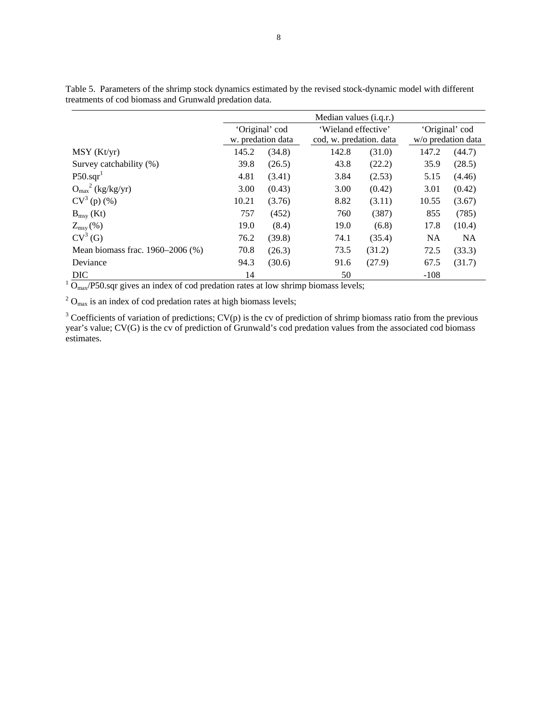|                                                                                    | Median values ( <i>i.g.r.</i> ) |                   |                     |                         |                    |           |  |  |  |  |
|------------------------------------------------------------------------------------|---------------------------------|-------------------|---------------------|-------------------------|--------------------|-----------|--|--|--|--|
|                                                                                    |                                 | 'Original' cod    | 'Wieland effective' |                         | 'Original' cod     |           |  |  |  |  |
|                                                                                    |                                 | w. predation data |                     | cod, w. predation. data | w/o predation data |           |  |  |  |  |
| MSY (Kt/yr)                                                                        | 145.2                           | (34.8)            | 142.8               | (31.0)                  | 147.2              | (44.7)    |  |  |  |  |
| Survey catchability (%)                                                            | 39.8                            | (26.5)            | 43.8                | (22.2)                  | 35.9               | (28.5)    |  |  |  |  |
| $P50.\text{sqr}^1$                                                                 | 4.81                            | (3.41)            | 3.84                | (2.53)                  | 5.15               | (4.46)    |  |  |  |  |
| $O_{\text{max}}^2$ (kg/kg/yr)                                                      | 3.00                            | (0.43)            | 3.00                | (0.42)                  | 3.01               | (0.42)    |  |  |  |  |
| $CV^3(p)$ (%)                                                                      | 10.21                           | (3.76)            | 8.82                | (3.11)                  | 10.55              | (3.67)    |  |  |  |  |
| $B_{msy}$ (Kt)                                                                     | 757                             | (452)             | 760                 | (387)                   | 855                | (785)     |  |  |  |  |
| $Z_{\rm msy}(\%)$                                                                  | 19.0                            | (8.4)             | 19.0                | (6.8)                   | 17.8               | (10.4)    |  |  |  |  |
| $CV^3(G)$                                                                          | 76.2                            | (39.8)            | 74.1                | (35.4)                  | <b>NA</b>          | <b>NA</b> |  |  |  |  |
| Mean biomass frac. 1960–2006 (%)                                                   | 70.8                            | (26.3)            | 73.5                | (31.2)                  | 72.5               | (33.3)    |  |  |  |  |
| Deviance                                                                           | 94.3                            | (30.6)            | 91.6                | (27.9)                  | 67.5               | (31.7)    |  |  |  |  |
| <b>DIC</b>                                                                         | 14                              |                   | 50                  |                         | $-108$             |           |  |  |  |  |
| $Omax/P50$ sqr gives an index of cod predation rates at low shrimp biomass levels; |                                 |                   |                     |                         |                    |           |  |  |  |  |

Table 5. Parameters of the shrimp stock dynamics estimated by the revised stock-dynamic model with different treatments of cod biomass and Grunwald predation data.

 $2^2$  O<sub>max</sub> is an index of cod predation rates at high biomass levels;

 $3$  Coefficients of variation of predictions; CV(p) is the cv of prediction of shrimp biomass ratio from the previous year's value; CV(G) is the cv of prediction of Grunwald's cod predation values from the associated cod biomass estimates.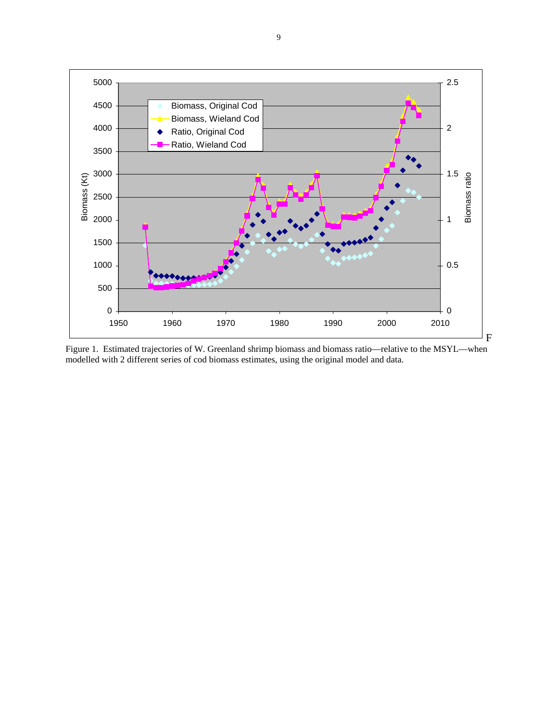

Figure 1. Estimated trajectories of W. Greenland shrimp biomass and biomass ratio—relative to the MSYL—when modelled with 2 different series of cod biomass estimates, using the original model and data.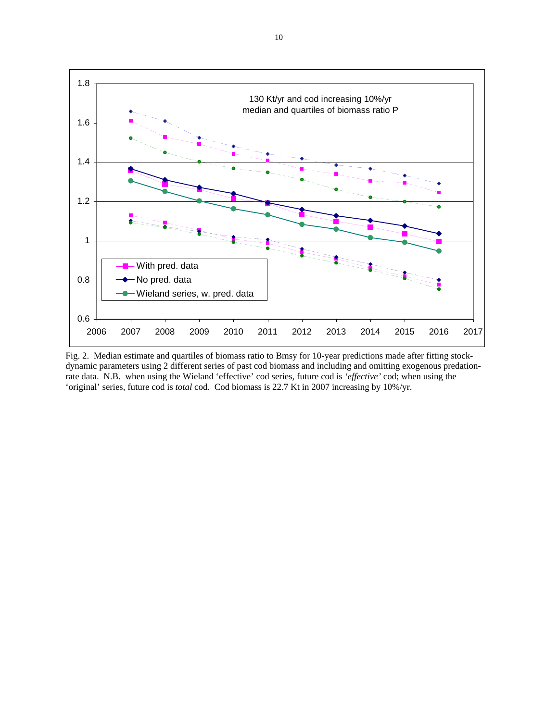

Fig. 2. Median estimate and quartiles of biomass ratio to Bmsy for 10-year predictions made after fitting stockdynamic parameters using 2 different series of past cod biomass and including and omitting exogenous predationrate data. N.B. when using the Wieland 'effective' cod series, future cod is *'effective'* cod; when using the 'original' series, future cod is *total* cod. Cod biomass is 22.7 Kt in 2007 increasing by 10%/yr.